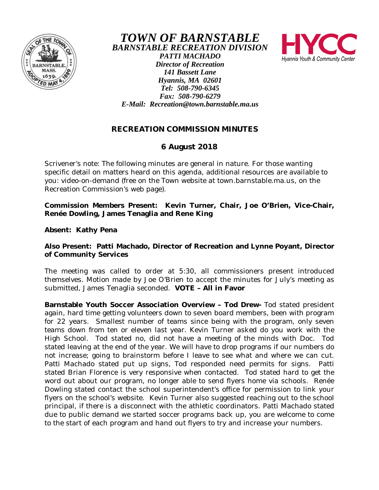

*TOWN OF BARNSTABLE BARNSTABLE RECREATION DIVISION PATTI MACHADO Director of Recreation 141 Bassett Lane Hyannis, MA 02601 Tel: 508-790-6345 Fax: 508-790-6279 E-Mail: Recreation@town.barnstable.ma.us*

Hvannis Youth & Community Center



## **6 August 2018**

Scrivener's note: The following minutes are general in nature. For those wanting specific detail on matters heard on this agenda, additional resources are available to you: video-on-demand (free on the Town website at town.barnstable.ma.us, on the Recreation Commission's web page).

**Commission Members Present: Kevin Turner, Chair, Joe O'Brien, Vice-Chair, Renée Dowling, James Tenaglia and Rene King**

**Absent: Kathy Pena**

**Also Present: Patti Machado, Director of Recreation and Lynne Poyant, Director of Community Services**

The meeting was called to order at 5:30, all commissioners present introduced themselves. Motion made by Joe O'Brien to accept the minutes for July's meeting as submitted, James Tenaglia seconded. **VOTE – All in Favor**

**Barnstable Youth Soccer Association Overview – Tod Drew-** Tod stated president again, hard time getting volunteers down to seven board members, been with program for 22 years. Smallest number of teams since being with the program, only seven teams down from ten or eleven last year. Kevin Turner asked do you work with the High School. Tod stated no, did not have a meeting of the minds with Doc. Tod stated leaving at the end of the year. We will have to drop programs if our numbers do not increase; going to brainstorm before I leave to see what and where we can cut. Patti Machado stated put up signs, Tod responded need permits for signs. Patti stated Brian Florence is very responsive when contacted. Tod stated hard to get the word out about our program, no longer able to send flyers home via schools. Renée Dowling stated contact the school superintendent's office for permission to link your flyers on the school's website. Kevin Turner also suggested reaching out to the school principal, if there is a disconnect with the athletic coordinators. Patti Machado stated due to public demand we started soccer programs back up, you are welcome to come to the start of each program and hand out flyers to try and increase your numbers.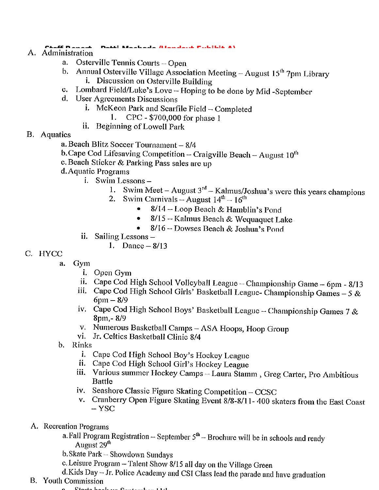- A. Administration
	- Osterville Tennis Courts Open a.
	- Annual Osterville Village Association Meeting August 15<sup>th</sup> 7pm Library  $\mathbf{b}$ . *i.* Discussion on Osterville Building
	- Lombard Field/Luke's Love Hoping to be done by Mid-September  $\mathbf{c}$ .
	- d. User Agreements Discussions
		- i. McKeon Park and Scarfile Field  $-$  Completed

 $\mathbf{A}$  and  $\mathbf{A}$  and  $\mathbf{A}$  and  $\mathbf{A}$  and  $\mathbf{A}$  and  $\mathbf{A}$  and  $\mathbf{A}$ 

- CPC \$700,000 for phase 1 1.
- ii. Beginning of Lowell Park
- **B.** Aquatics
	- a. Beach Blitz Soccer Tournament 8/4
	- b. Cape Cod Lifesaving Competition Craigville Beach August  $10^{th}$
	- c. Beach Sticker & Parking Pass sales are up
	- d. Aquatic Programs
		- i. Swim Lessons -
			- Swim Meet August  $3^{rd}$  Kalmus/Joshua's were this years champions 1.
			- Swim Carnivals August  $14^{th}$   $16^{th}$  $2.$ 
				- 8/14 Loop Beach & Hamblin's Pond
				- 8/15 Kalmus Beach & Wequaquet Lake  $\bullet$
				- 8/16 Dowses Beach & Joshua's Pond
		- ii. Sailing Lessons-

1. Dance  $-8/13$ 

- C. HYCC
	- Gym  $a<sub>1</sub>$ 
		- i. Open Gym
		- ii. Cape Cod High School Volleyball League Championship Game 6pm 8/13
		- iii. Cape Cod High School Girls' Basketball League- Championship Games 5 &  $6pm - 8/9$
		- iv. Cape Cod High School Boys' Basketball League Championship Games 7 & 8pm, - 8/9
		- v. Numerous Basketball Camps ASA Hoops, Hoop Group
		- vi. Jr. Celtics Basketball Clinic 8/4
	- b. Rinks
		- i. Cape Cod High School Boy's Hockey League
		- ii. Cape Cod High School Girl's Hockey League
		- iii. Various summer Hockey Camps Laura Stamm, Greg Carter, Pro Ambitious **Battle**
		- iv. Seashore Classic Figure Skating Competition CCSC
		- v. Cranberry Open Figure Skating Event 8/8-8/11-400 skaters from the East Coast  $-$  YSC
	- A. Recreation Programs
		- a. Fall Program Registration September  $5<sup>th</sup>$  Brochure will be in schools and ready August 29<sup>th</sup>
		- b. Skate Park Showdown Sundays
		- c. Leisure Program Talent Show 8/15 all day on the Village Green
		- d.Kids Day Jr. Police Academy and CSI Class lead the parade and have graduation
	- **B.** Youth Commission
		- 0 Charles books in Organization 1121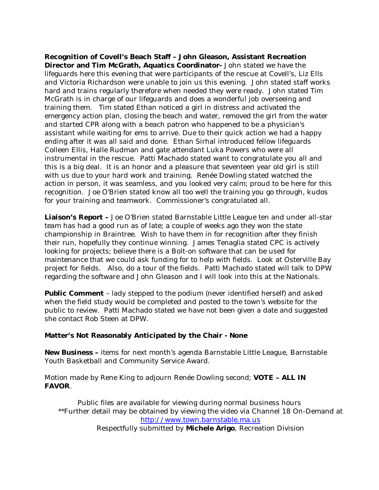**Recognition of Covell's Beach Staff – John Gleason, Assistant Recreation Director and Tim McGrath, Aquatics Coordinator-** John stated we have the lifeguards here this evening that were participants of the rescue at Covell's, Liz Ells and Victoria Richardson were unable to join us this evening. John stated staff works hard and trains regularly therefore when needed they were ready. John stated Tim McGrath is in charge of our lifeguards and does a wonderful job overseeing and training them. Tim stated Ethan noticed a girl in distress and activated the emergency action plan, closing the beach and water, removed the girl from the water and started CPR along with a beach patron who happened to be a physician's assistant while waiting for ems to arrive. Due to their quick action we had a happy ending after it was all said and done. Ethan Sirhal introduced fellow lifeguards Colleen Ellis, Halle Rudman and gate attendant Luka Powers who were all instrumental in the rescue. Patti Machado stated want to congratulate you all and this is a big deal. It is an honor and a pleasure that seventeen year old girl is still with us due to your hard work and training. Renée Dowling stated watched the action in person, it was seamless, and you looked very calm; proud to be here for this recognition. Joe O'Brien stated know all too well the training you go through, kudos for your training and teamwork. Commissioner's congratulated all.

**Liaison's Report –** Joe O'Brien stated Barnstable Little League ten and under all-star team has had a good run as of late; a couple of weeks ago they won the state championship in Braintree. Wish to have them in for recognition after they finish their run, hopefully they continue winning. James Tenaglia stated CPC is actively looking for projects; believe there is a Bolt-on software that can be used for maintenance that we could ask funding for to help with fields. Look at Osterville Bay project for fields. Also, do a tour of the fields. Patti Machado stated will talk to DPW regarding the software and John Gleason and I will look into this at the Nationals.

**Public Comment** – lady stepped to the podium (never identified herself) and asked when the field study would be completed and posted to the town's website for the public to review. Patti Machado stated we have not been given a date and suggested she contact Rob Steen at DPW.

## **Matter's Not Reasonably Anticipated by the Chair - None**

**New Business –** items for next month's agenda Barnstable Little League, Barnstable Youth Basketball and Community Service Award.

Motion made by Rene King to adjourn Renée Dowling second; **VOTE – ALL IN FAVOR**.

Public files are available for viewing during normal business hours \*\*Further detail may be obtained by viewing the video via Channel 18 On-Demand at http://www.town.barnstable.ma.us Respectfully submitted by **Michele Arigo**, Recreation Division